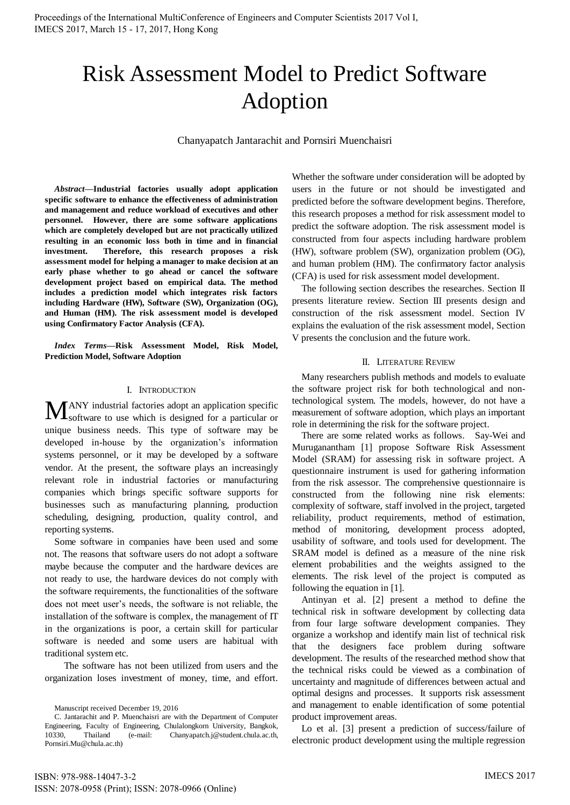# Risk Assessment Model to Predict Software Adoption

Chanyapatch Jantarachit and Pornsiri Muenchaisri

*Abstract***—Industrial factories usually adopt application specific software to enhance the effectiveness of administration and management and reduce workload of executives and other personnel. However, there are some software applications which are completely developed but are not practically utilized resulting in an economic loss both in time and in financial investment. Therefore, this research proposes a risk assessment model for helping a manager to make decision at an early phase whether to go ahead or cancel the software development project based on empirical data. The method includes a prediction model which integrates risk factors including Hardware (HW), Software (SW), Organization (OG), and Human (HM). The risk assessment model is developed using Confirmatory Factor Analysis (CFA).** 

*Index Terms***—Risk Assessment Model, Risk Model, Prediction Model, Software Adoption** 

#### I. INTRODUCTION

ANY industrial factories adopt an application specific MANY industrial factories adopt an application specific<br>Software to use which is designed for a particular or unique business needs. This type of software may be developed in-house by the organization's information systems personnel, or it may be developed by a software vendor. At the present, the software plays an increasingly relevant role in industrial factories or manufacturing companies which brings specific software supports for businesses such as manufacturing planning, production scheduling, designing, production, quality control, and reporting systems.

 Some software in companies have been used and some not. The reasons that software users do not adopt a software maybe because the computer and the hardware devices are not ready to use, the hardware devices do not comply with the software requirements, the functionalities of the software does not meet user's needs, the software is not reliable, the installation of the software is complex, the management of IT in the organizations is poor, a certain skill for particular software is needed and some users are habitual with traditional system etc.

 The software has not been utilized from users and the organization loses investment of money, time, and effort.

C. Jantarachit and P. Muenchaisri are with the Department of Computer Engineering, Faculty of Engineering, Chulalongkorn University, Bangkok, 10330, Thailand (e-mail: Chanyapatch.j@student.chula.ac.th, Pornsiri.Mu@chula.ac.th)

Whether the software under consideration will be adopted by users in the future or not should be investigated and predicted before the software development begins. Therefore, this research proposes a method for risk assessment model to predict the software adoption. The risk assessment model is constructed from four aspects including hardware problem (HW), software problem (SW), organization problem (OG), and human problem (HM). The confirmatory factor analysis (CFA) is used for risk assessment model development.

 The following section describes the researches. Section II presents literature review. Section III presents design and construction of the risk assessment model. Section IV explains the evaluation of the risk assessment model, Section V presents the conclusion and the future work.

#### II. LITERATURE REVIEW

Many researchers publish methods and models to evaluate the software project risk for both technological and nontechnological system. The models, however, do not have a measurement of software adoption, which plays an important role in determining the risk for the software project.

There are some related works as follows. Say-Wei and Muruganantham [1] propose Software Risk Assessment Model (SRAM) for assessing risk in software project. A questionnaire instrument is used for gathering information from the risk assessor. The comprehensive questionnaire is constructed from the following nine risk elements: complexity of software, staff involved in the project, targeted reliability, product requirements, method of estimation, method of monitoring, development process adopted, usability of software, and tools used for development. The SRAM model is defined as a measure of the nine risk element probabilities and the weights assigned to the elements. The risk level of the project is computed as following the equation in [1].

Antinyan et al. [2] present a method to define the technical risk in software development by collecting data from four large software development companies. They organize a workshop and identify main list of technical risk that the designers face problem during software development. The results of the researched method show that the technical risks could be viewed as a combination of uncertainty and magnitude of differences between actual and optimal designs and processes. It supports risk assessment and management to enable identification of some potential product improvement areas.

Lo et al. [3] present a prediction of success/failure of electronic product development using the multiple regression

Manuscript received December 19, 2016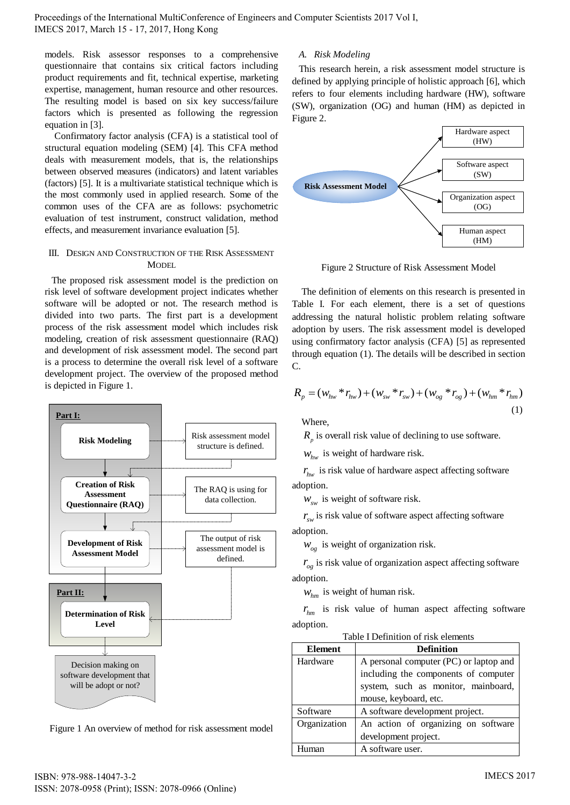models. Risk assessor responses to a comprehensive questionnaire that contains six critical factors including product requirements and fit, technical expertise, marketing expertise, management, human resource and other resources. The resulting model is based on six key success/failure factors which is presented as following the regression equation in [3].

Confirmatory factor analysis (CFA) is a statistical tool of structural equation modeling (SEM) [4]. This CFA method deals with measurement models, that is, the relationships between observed measures (indicators) and latent variables (factors) [5]. It is a multivariate statistical technique which is the most commonly used in applied research. Some of the common uses of the CFA are as follows: psychometric evaluation of test instrument, construct validation, method effects, and measurement invariance evaluation [5].

## III. DESIGN AND CONSTRUCTION OF THE RISK ASSESSMENT MODEL

The proposed risk assessment model is the prediction on risk level of software development project indicates whether software will be adopted or not. The research method is divided into two parts. The first part is a development process of the risk assessment model which includes risk modeling, creation of risk assessment questionnaire (RAQ) and development of risk assessment model. The second part is a process to determine the overall risk level of a software development project. The overview of the proposed method is depicted in [Figure 1.](#page-1-0)



<span id="page-1-0"></span>Figure 1 An overview of method for risk assessment model

## *A. Risk Modeling*

This research herein, a risk assessment model structure is defined by applying principle of holistic approach [6], which refers to four elements including hardware (HW), software (SW), organization (OG) and human (HM) as depicted in [Figure 2.](#page-1-1)



Figure 2 Structure of Risk Assessment Model

<span id="page-1-1"></span>The definition of elements on this research is presented in [Table I.](#page-1-2) For each element, there is a set of questions addressing the natural holistic problem relating software adoption by users. The risk assessment model is developed using confirmatory factor analysis (CFA) [5] as represented through equation (1). The details will be described in section C.

C.  
\n
$$
R_p = (w_{hw} * r_{hw}) + (w_{sw} * r_{sw}) + (w_{og} * r_{og}) + (w_{hm} * r_{hm})
$$
\n(1)

Where,

 $R_p$  is overall risk value of declining to use software.

*whw* is weight of hardware risk.

 $r_{hw}$  is risk value of hardware aspect affecting software adoption.

*wsw* is weight of software risk.

 $r_{\rm sw}$  is risk value of software aspect affecting software adoption.

*wog* is weight of organization risk.

 $r_{og}$  is risk value of organization aspect affecting software adoption.

*whm* is weight of human risk.

*hm r* is risk value of human aspect affecting software adoption.

| Table I Definition of risk elements |  |
|-------------------------------------|--|
|-------------------------------------|--|

<span id="page-1-2"></span>

| <b>Element</b> | <b>Definition</b>                      |  |  |  |
|----------------|----------------------------------------|--|--|--|
| Hardware       | A personal computer (PC) or laptop and |  |  |  |
|                | including the components of computer   |  |  |  |
|                | system, such as monitor, mainboard,    |  |  |  |
|                | mouse, keyboard, etc.                  |  |  |  |
| Software       | A software development project.        |  |  |  |
| Organization   | An action of organizing on software    |  |  |  |
|                | development project.                   |  |  |  |
| human          | A software user.                       |  |  |  |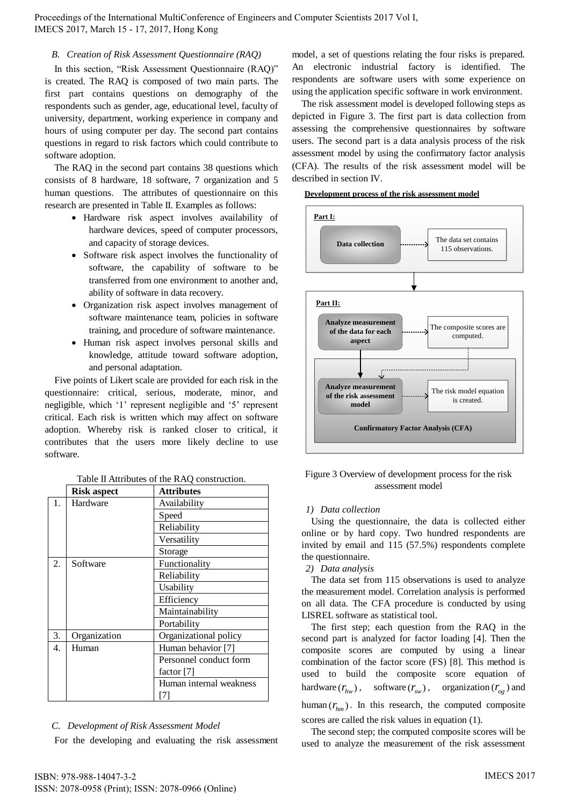## *B. Creation of Risk Assessment Questionnaire (RAQ)*

In this section, "Risk Assessment Questionnaire (RAQ)" is created. The RAQ is composed of two main parts. The first part contains questions on demography of the respondents such as gender, age, educational level, faculty of university, department, working experience in company and hours of using computer per day. The second part contains questions in regard to risk factors which could contribute to software adoption.

The RAQ in the second part contains 38 questions which consists of 8 hardware, 18 software, 7 organization and 5 human questions. The attributes of questionnaire on this research are presented i[n Table II.](#page-2-0) Examples as follows:

- Hardware risk aspect involves availability of hardware devices, speed of computer processors, and capacity of storage devices.
- Software risk aspect involves the functionality of software, the capability of software to be transferred from one environment to another and, ability of software in data recovery.
- Organization risk aspect involves management of software maintenance team, policies in software training, and procedure of software maintenance.
- Human risk aspect involves personal skills and knowledge, attitude toward software adoption, and personal adaptation.

Five points of Likert scale are provided for each risk in the questionnaire: critical, serious, moderate, minor, and negligible, which '1' represent negligible and '5' represent critical. Each risk is written which may affect on software adoption. Whereby risk is ranked closer to critical, it contributes that the users more likely decline to use software.

<span id="page-2-0"></span>

|                  | <b>Risk aspect</b> | <b>Attributes</b>       |  |  |  |  |
|------------------|--------------------|-------------------------|--|--|--|--|
| 1.               | Hardware           | Availability            |  |  |  |  |
|                  |                    | Speed                   |  |  |  |  |
|                  |                    | Reliability             |  |  |  |  |
|                  |                    | Versatility             |  |  |  |  |
|                  |                    | Storage                 |  |  |  |  |
| 2.               | Software           | Functionality           |  |  |  |  |
|                  |                    | Reliability             |  |  |  |  |
|                  |                    | Usability               |  |  |  |  |
|                  |                    | Efficiency              |  |  |  |  |
|                  |                    | Maintainability         |  |  |  |  |
|                  |                    | Portability             |  |  |  |  |
| 3.               | Organization       | Organizational policy   |  |  |  |  |
| $\overline{4}$ . | Human              | Human behavior [7]      |  |  |  |  |
|                  |                    | Personnel conduct form  |  |  |  |  |
|                  |                    | factor [7]              |  |  |  |  |
|                  |                    | Human internal weakness |  |  |  |  |
|                  |                    |                         |  |  |  |  |

## Table II Attributes of the RAQ construction.

## *C. Development of Risk Assessment Model*

For the developing and evaluating the risk assessment

model, a set of questions relating the four risks is prepared. An electronic industrial factory is identified. The respondents are software users with some experience on using the application specific software in work environment.

The risk assessment model is developed following steps as depicted in [Figure 3.](#page-2-1) The first part is data collection from assessing the comprehensive questionnaires by software users. The second part is a data analysis process of the risk assessment model by using the confirmatory factor analysis (CFA). The results of the risk assessment model will be described in section IV.





## <span id="page-2-1"></span>Figure 3 Overview of development process for the risk assessment model

## *1) Data collection*

Using the questionnaire, the data is collected either online or by hard copy. Two hundred respondents are invited by email and 115 (57.5%) respondents complete the questionnaire.

## *2) Data analysis*

The data set from 115 observations is used to analyze the measurement model. Correlation analysis is performed on all data. The CFA procedure is conducted by using LISREL software as statistical tool.

The first step; each question from the RAQ in the second part is analyzed for factor loading [4]. Then the composite scores are computed by using a linear combination of the factor score (FS) [8]. This method is used to build the composite score equation of hardware  $(r_{hw}^{\prime})$ , software  $(r_{sw}^{\prime})$ , organization  $(r_{og}^{\prime})$  and human  $(r_{hm})$ . In this research, the computed composite scores are called the risk values in equation (1).

The second step; the computed composite scores will be used to analyze the measurement of the risk assessment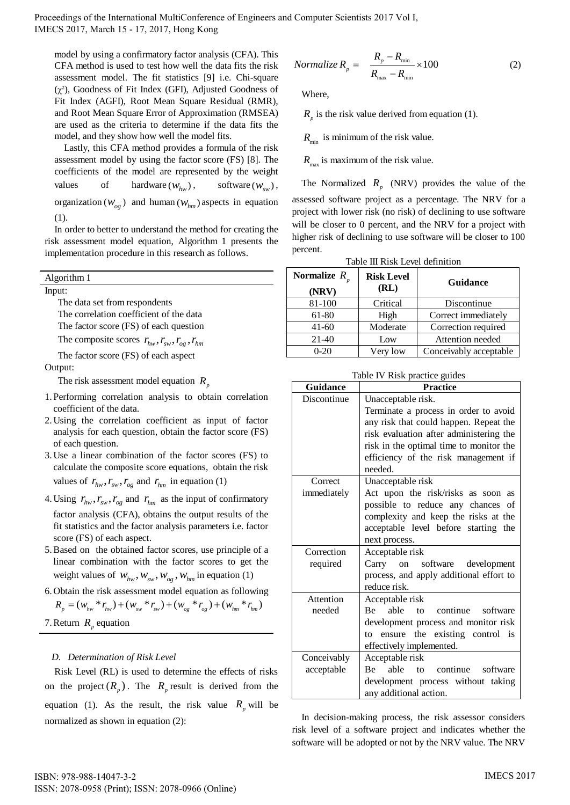model by using a confirmatory factor analysis (CFA). This CFA method is used to test how well the data fits the risk assessment model. The fit statistics [9] i.e. Chi-square  $(\chi^2)$ , Goodness of Fit Index (GFI), Adjusted Goodness of Fit Index (AGFI), Root Mean Square Residual (RMR), and Root Mean Square Error of Approximation (RMSEA) are used as the criteria to determine if the data fits the model, and they show how well the model fits.

Lastly, this CFA method provides a formula of the risk assessment model by using the factor score (FS) [8]. The coefficients of the model are represented by the weight values of hardware  $(w_{hw})$ , software  $(w_{sw})$ , organization ( $W_{og}$ ) and human ( $W_{hm}$ ) aspects in equation (1).

 In order to better to understand the method for creating the risk assessment model equation, Algorithm 1 presents the implementation procedure in this research as follows.

#### Algorithm 1

Input:

The data set from respondents The correlation coefficient of the data The factor score (FS) of each question

The composite scores  $r_{hw}$ ,  $r_{sw}$ ,  $r_{cg}$ ,  $r_{hm}$ 

The factor score (FS) of each aspect Output:

The risk assessment model equation *R p*

- 1. Performing correlation analysis to obtain correlation coefficient of the data.
- 2.Using the correlation coefficient as input of factor analysis for each question, obtain the factor score (FS) of each question.
- 3.Use a linear combination of the factor scores (FS) to calculate the composite score equations, obtain the risk values of  $r_{hw}$ ,  $r_{sw}$ ,  $r_{og}$  and  $r_{hm}$  in equation (1)
- 4. Using  $r_{hw}$ ,  $r_{sw}$ ,  $r_{og}$  and  $r_{hm}$  as the input of confirmatory factor analysis (CFA), obtains the output results of the fit statistics and the factor analysis parameters i.e. factor score (FS) of each aspect.
- 5.Based on the obtained factor scores, use principle of a linear combination with the factor scores to get the weight values of  $w_{hw}$ ,  $w_{sw}$ ,  $w_{og}$ ,  $w_{hm}$  in equation (1)
- 6.Obtain the risk assessment model equation as following  $(R_p = (W_{hw} * r_{hw}) + (W_{sw} * r_{sw}) + (W_{og} * r_{og}) + (W_{hm} * r_{hm})$
- 7. Return  $R_p$  equation

## *D. Determination of Risk Level*

Risk Level (RL) is used to determine the effects of risks on the project  $(R_p)$ . The  $R_p$  result is derived from the equation (1). As the result, the risk value  $R_p$  will be normalized as shown in equation (2):

$$
Normalize \, R_p = \frac{R_p - R_{\min}}{R_{\max} - R_{\min}} \times 100 \tag{2}
$$

Where,

 $R_p$  is the risk value derived from equation (1).

 $R_{\min}$  is minimum of the risk value.

*R* max is maximum of the risk value.

The Normalized  $R_p$  (NRV) provides the value of the assessed software project as a percentage. The NRV for a project with lower risk (no risk) of declining to use software will be closer to 0 percent, and the NRV for a project with higher risk of declining to use software will be closer to 100 percent. Table III Risk Level definition

<span id="page-3-0"></span>

| Normalize $R_1$<br>(NRV) | <b>Risk Level</b><br>Guidance<br>(RL) |                        |
|--------------------------|---------------------------------------|------------------------|
| 81-100<br>Critical       |                                       | Discontinue            |
| 61-80<br>High            |                                       | Correct immediately    |
| $41 - 60$                | Moderate                              | Correction required    |
| 21-40                    | Low                                   | Attention needed       |
| $0 - 20$                 | Very low                              | Conceivably acceptable |

Table IV Risk practice guides

| Guidance    | <b>Practice</b>                                                                                                                                                                                                                                                      |  |  |  |
|-------------|----------------------------------------------------------------------------------------------------------------------------------------------------------------------------------------------------------------------------------------------------------------------|--|--|--|
| Discontinue | Unacceptable risk.                                                                                                                                                                                                                                                   |  |  |  |
|             | Terminate a process in order to avoid                                                                                                                                                                                                                                |  |  |  |
|             | any risk that could happen. Repeat the                                                                                                                                                                                                                               |  |  |  |
|             | risk evaluation after administering the                                                                                                                                                                                                                              |  |  |  |
|             | risk in the optimal time to monitor the                                                                                                                                                                                                                              |  |  |  |
|             | efficiency of the risk management if                                                                                                                                                                                                                                 |  |  |  |
|             | needed.                                                                                                                                                                                                                                                              |  |  |  |
| Correct     | Unacceptable risk                                                                                                                                                                                                                                                    |  |  |  |
| immediately | Act upon the risk/risks as soon<br><b>as</b>                                                                                                                                                                                                                         |  |  |  |
|             | possible to reduce any chances<br>of                                                                                                                                                                                                                                 |  |  |  |
|             | complexity and keep the risks at the                                                                                                                                                                                                                                 |  |  |  |
|             | acceptable level before starting the                                                                                                                                                                                                                                 |  |  |  |
|             | next process.                                                                                                                                                                                                                                                        |  |  |  |
| Correction  | Acceptable risk                                                                                                                                                                                                                                                      |  |  |  |
| required    | Carry on software development                                                                                                                                                                                                                                        |  |  |  |
|             | process, and apply additional effort to                                                                                                                                                                                                                              |  |  |  |
|             | reduce risk.                                                                                                                                                                                                                                                         |  |  |  |
| Attention   | Acceptable risk                                                                                                                                                                                                                                                      |  |  |  |
| needed      | able<br>continue<br>software<br><b>Be</b><br>to                                                                                                                                                                                                                      |  |  |  |
|             | development process and monitor risk                                                                                                                                                                                                                                 |  |  |  |
|             | ensure the existing control<br>is<br>to                                                                                                                                                                                                                              |  |  |  |
|             | effectively implemented.                                                                                                                                                                                                                                             |  |  |  |
| Conceivably | Acceptable risk                                                                                                                                                                                                                                                      |  |  |  |
| acceptable  | continue<br>able<br>software<br>Be the set of the set of the set of the set of the set of the set of the set of the set of the set of the set of the set of the set of the set of the set of the set of the set of the set of the set of the set of the set of<br>to |  |  |  |
|             | development process without taking                                                                                                                                                                                                                                   |  |  |  |
|             | any additional action.                                                                                                                                                                                                                                               |  |  |  |

In decision-making process, the risk assessor considers risk level of a software project and indicates whether the software will be adopted or not by the NRV value. The NRV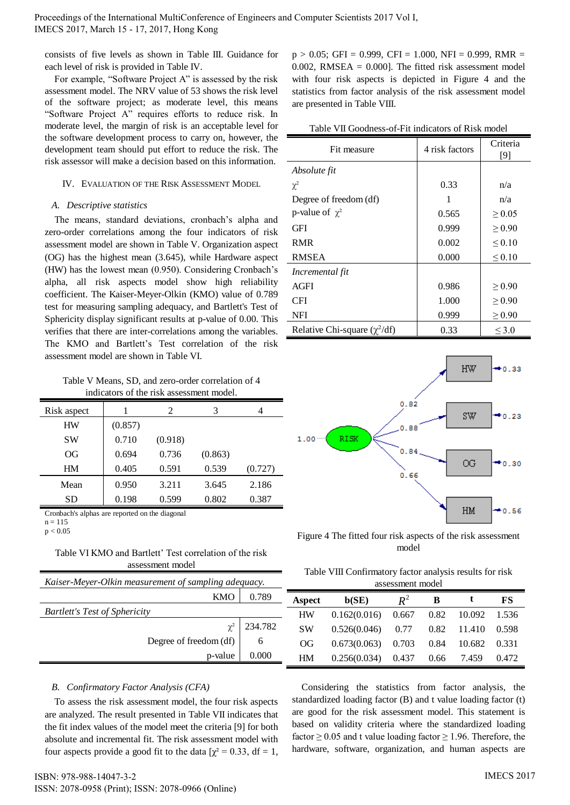consists of five levels as shown in [Table III.](#page-3-0) Guidance for each level of risk is provided in Table IV.

For example, "Software Project A" is assessed by the risk assessment model. The NRV value of 53 shows the risk level of the software project; as moderate level, this means "Software Project A" requires efforts to reduce risk. In moderate level, the margin of risk is an acceptable level for the software development process to carry on, however, the development team should put effort to reduce the risk. The risk assessor will make a decision based on this information.

#### IV. EVALUATION OF THE RISK ASSESSMENT MODEL

#### *A. Descriptive statistics*

The means, standard deviations, cronbach's alpha and zero-order correlations among the four indicators of risk assessment model are shown in [Table V.](#page-4-0) Organization aspect (OG) has the highest mean (3.645), while Hardware aspect (HW) has the lowest mean (0.950). Considering Cronbach's alpha, all risk aspects model show high reliability coefficient. The Kaiser-Meyer-Olkin (KMO) value of 0.789 test for measuring sampling adequacy, and Bartlett's Test of Sphericity display significant results at p-value of 0.00. This verifies that there are inter-correlations among the variables. The KMO and Bartlett's Test correlation of the risk assessment model are shown in [Table VI.](#page-4-1)

<span id="page-4-0"></span>Table V Means, SD, and zero-order correlation of 4 indicators of the risk assessment model.

| Risk aspect |         | 2       | 3       | 4       |
|-------------|---------|---------|---------|---------|
| <b>HW</b>   | (0.857) |         |         |         |
| <b>SW</b>   | 0.710   | (0.918) |         |         |
| OG          | 0.694   | 0.736   | (0.863) |         |
| HM          | 0.405   | 0.591   | 0.539   | (0.727) |
| Mean        | 0.950   | 3.211   | 3.645   | 2.186   |
| SD          | 0.198   | 0.599   | 0.802   | 0.387   |

Cronbach's alphas are reported on the diagonal

 $n = 115$  $p < 0.05$ 

<span id="page-4-1"></span>Table VI KMO and Bartlett' Test correlation of the risk assessment model

| Kaiser-Meyer-Olkin measurement of sampling adequacy. |         |  |  |
|------------------------------------------------------|---------|--|--|
| 0.789<br>KMO                                         |         |  |  |
| <b>Bartlett's Test of Sphericity</b>                 |         |  |  |
| $\chi^2$                                             | 234.782 |  |  |
| Degree of freedom (df)                               | h       |  |  |
| p-value                                              | 0.000   |  |  |

#### *B. Confirmatory Factor Analysis (CFA)*

To assess the risk assessment model, the four risk aspects are analyzed. The result presented in [Table VII](#page-4-2) indicates that the fit index values of the model meet the criteria [9] for both absolute and incremental fit. The risk assessment model with four aspects provide a good fit to the data  $[\chi^2 = 0.33, df = 1,$ 

 $p > 0.05$ ; GFI = 0.999, CFI = 1.000, NFI = 0.999, RMR = 0.002, RMSEA  $=$  0.000]. The fitted risk assessment model with four risk aspects is depicted in Figure 4 and the statistics from factor analysis of the risk assessment model are presented i[n Table VIII.](#page-4-3)

| Table VII Goodness-of-Fit indicators of Risk model |  |
|----------------------------------------------------|--|
|----------------------------------------------------|--|

<span id="page-4-2"></span>

| Fit measure                       | 4 risk factors | Criteria    |
|-----------------------------------|----------------|-------------|
|                                   |                | $[9]$       |
| Absolute fit                      |                |             |
| $\chi^2$                          | 0.33           | n/a         |
| Degree of freedom (df)            | 1              | n/a         |
| p-value of $\chi^2$               | 0.565          | > 0.05      |
| <b>GFI</b>                        | 0.999          | > 0.90      |
| <b>RMR</b>                        | 0.002          | ${}_{0.10}$ |
| <b>RMSEA</b>                      | 0.000          | $\leq 0.10$ |
| Incremental fit                   |                |             |
| AGFI                              | 0.986          | > 0.90      |
| <b>CFI</b>                        | 1.000          | > 0.90      |
| <b>NFI</b>                        | 0.999          | $\geq 0.90$ |
| Relative Chi-square $(\chi^2/df)$ | 0.33           | $\leq 3.0$  |



Figure 4 The fitted four risk aspects of the risk assessment model

<span id="page-4-3"></span>Table VIII Confirmatory factor analysis results for risk assessment model

|   | 0.789   | Aspect    | b(SE)                         | $R^2$ | в    |              | FS    |
|---|---------|-----------|-------------------------------|-------|------|--------------|-------|
|   |         | <b>HW</b> | $0.162(0.016)$ $0.667$ $0.82$ |       |      | 10.092 1.536 |       |
| 2 | 234.782 | <b>SW</b> | $0.526(0.046)$ 0.77           |       |      | 0.82 11.410  | 0.598 |
|   | 6       | OG        | $0.673(0.063)$ 0.703          |       | 0.84 | 10.682 0.331 |       |
|   | 0.000   | HM        | $0.256(0.034)$ 0.437          |       | 0.66 | 7.459        | 0.472 |

Considering the statistics from factor analysis, the standardized loading factor (B) and t value loading factor (t) are good for the risk assessment model. This statement is based on validity criteria where the standardized loading factor  $\geq$  0.05 and t value loading factor  $\geq$  1.96. Therefore, the hardware, software, organization, and human aspects are